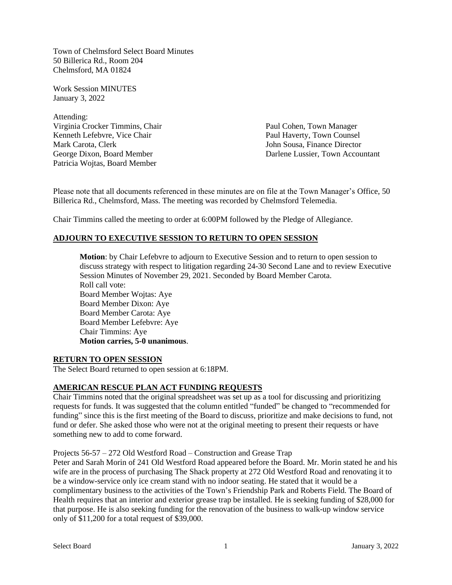Town of Chelmsford Select Board Minutes 50 Billerica Rd., Room 204 Chelmsford, MA 01824

Work Session MINUTES January 3, 2022

Attending: Virginia Crocker Timmins, Chair Paul Cohen, Town Manager Kenneth Lefebvre, Vice Chair **Paul Haverty, Town Counsel** Mark Carota, Clerk John Sousa, Finance Director Patricia Wojtas, Board Member

George Dixon, Board Member **Darlene Lussier**, Town Accountant

Please note that all documents referenced in these minutes are on file at the Town Manager's Office, 50 Billerica Rd., Chelmsford, Mass. The meeting was recorded by Chelmsford Telemedia.

Chair Timmins called the meeting to order at 6:00PM followed by the Pledge of Allegiance.

# **ADJOURN TO EXECUTIVE SESSION TO RETURN TO OPEN SESSION**

**Motion**: by Chair Lefebvre to adjourn to Executive Session and to return to open session to discuss strategy with respect to litigation regarding 24-30 Second Lane and to review Executive Session Minutes of November 29, 2021. Seconded by Board Member Carota. Roll call vote: Board Member Wojtas: Aye Board Member Dixon: Aye Board Member Carota: Aye Board Member Lefebvre: Aye Chair Timmins: Aye **Motion carries, 5-0 unanimous**.

#### **RETURN TO OPEN SESSION**

The Select Board returned to open session at 6:18PM.

# **AMERICAN RESCUE PLAN ACT FUNDING REQUESTS**

Chair Timmins noted that the original spreadsheet was set up as a tool for discussing and prioritizing requests for funds. It was suggested that the column entitled "funded" be changed to "recommended for funding" since this is the first meeting of the Board to discuss, prioritize and make decisions to fund, not fund or defer. She asked those who were not at the original meeting to present their requests or have something new to add to come forward.

Projects 56-57 – 272 Old Westford Road – Construction and Grease Trap

Peter and Sarah Morin of 241 Old Westford Road appeared before the Board. Mr. Morin stated he and his wife are in the process of purchasing The Shack property at 272 Old Westford Road and renovating it to be a window-service only ice cream stand with no indoor seating. He stated that it would be a complimentary business to the activities of the Town's Friendship Park and Roberts Field. The Board of Health requires that an interior and exterior grease trap be installed. He is seeking funding of \$28,000 for that purpose. He is also seeking funding for the renovation of the business to walk-up window service only of \$11,200 for a total request of \$39,000.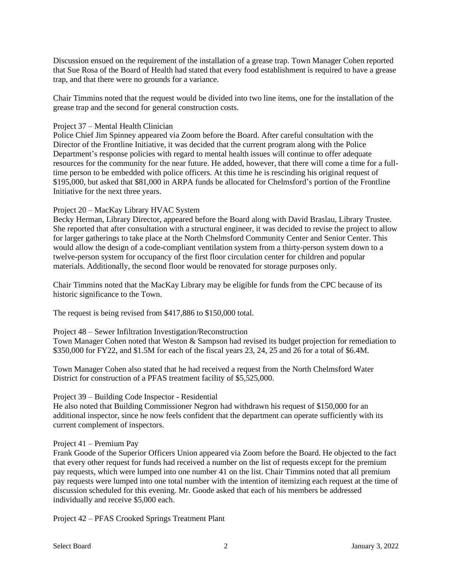Discussion ensued on the requirement of the installation of a grease trap. Town Manager Cohen reported that Sue Rosa of the Board of Health had stated that every food establishment is required to have a grease trap, and that there were no grounds for a variance.

Chair Timmins noted that the request would be divided into two line items, one for the installation of the grease trap and the second for general construction costs.

### Project 37 – Mental Health Clinician

Police Chief Jim Spinney appeared via Zoom before the Board. After careful consultation with the Director of the Frontline Initiative, it was decided that the current program along with the Police Department's response policies with regard to mental health issues will continue to offer adequate resources for the community for the near future. He added, however, that there will come a time for a fulltime person to be embedded with police officers. At this time he is rescinding his original request of \$195,000, but asked that \$81,000 in ARPA funds be allocated for Chelmsford's portion of the Frontline Initiative for the next three years.

### Project 20 – MacKay Library HVAC System

Becky Herman, Library Director, appeared before the Board along with David Braslau, Library Trustee. She reported that after consultation with a structural engineer, it was decided to revise the project to allow for larger gatherings to take place at the North Chelmsford Community Center and Senior Center. This would allow the design of a code-compliant ventilation system from a thirty-person system down to a twelve-person system for occupancy of the first floor circulation center for children and popular materials. Additionally, the second floor would be renovated for storage purposes only.

Chair Timmins noted that the MacKay Library may be eligible for funds from the CPC because of its historic significance to the Town.

The request is being revised from \$417,886 to \$150,000 total.

#### Project 48 – Sewer Infiltration Investigation/Reconstruction

Town Manager Cohen noted that Weston & Sampson had revised its budget projection for remediation to \$350,000 for FY22, and \$1.5M for each of the fiscal years 23, 24, 25 and 26 for a total of \$6.4M.

Town Manager Cohen also stated that he had received a request from the North Chelmsford Water District for construction of a PFAS treatment facility of \$5,525,000.

## Project 39 – Building Code Inspector - Residential

He also noted that Building Commissioner Negron had withdrawn his request of \$150,000 for an additional inspector, since he now feels confident that the department can operate sufficiently with its current complement of inspectors.

#### Project 41 – Premium Pay

Frank Goode of the Superior Officers Union appeared via Zoom before the Board. He objected to the fact that every other request for funds had received a number on the list of requests except for the premium pay requests, which were lumped into one number 41 on the list. Chair Timmins noted that all premium pay requests were lumped into one total number with the intention of itemizing each request at the time of discussion scheduled for this evening. Mr. Goode asked that each of his members be addressed individually and receive \$5,000 each.

Project 42 – PFAS Crooked Springs Treatment Plant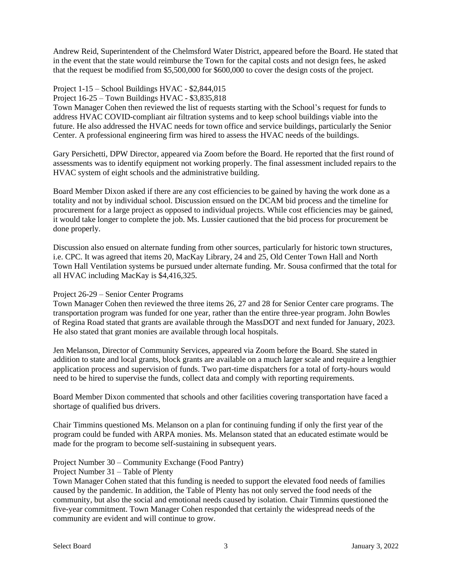Andrew Reid, Superintendent of the Chelmsford Water District, appeared before the Board. He stated that in the event that the state would reimburse the Town for the capital costs and not design fees, he asked that the request be modified from \$5,500,000 for \$600,000 to cover the design costs of the project.

# Project 1-15 – School Buildings HVAC - \$2,844,015

Project 16-25 – Town Buildings HVAC - \$3,835,818

Town Manager Cohen then reviewed the list of requests starting with the School's request for funds to address HVAC COVID-compliant air filtration systems and to keep school buildings viable into the future. He also addressed the HVAC needs for town office and service buildings, particularly the Senior Center. A professional engineering firm was hired to assess the HVAC needs of the buildings.

Gary Persichetti, DPW Director, appeared via Zoom before the Board. He reported that the first round of assessments was to identify equipment not working properly. The final assessment included repairs to the HVAC system of eight schools and the administrative building.

Board Member Dixon asked if there are any cost efficiencies to be gained by having the work done as a totality and not by individual school. Discussion ensued on the DCAM bid process and the timeline for procurement for a large project as opposed to individual projects. While cost efficiencies may be gained, it would take longer to complete the job. Ms. Lussier cautioned that the bid process for procurement be done properly.

Discussion also ensued on alternate funding from other sources, particularly for historic town structures, i.e. CPC. It was agreed that items 20, MacKay Library, 24 and 25, Old Center Town Hall and North Town Hall Ventilation systems be pursued under alternate funding. Mr. Sousa confirmed that the total for all HVAC including MacKay is \$4,416,325.

## Project 26-29 – Senior Center Programs

Town Manager Cohen then reviewed the three items 26, 27 and 28 for Senior Center care programs. The transportation program was funded for one year, rather than the entire three-year program. John Bowles of Regina Road stated that grants are available through the MassDOT and next funded for January, 2023. He also stated that grant monies are available through local hospitals.

Jen Melanson, Director of Community Services, appeared via Zoom before the Board. She stated in addition to state and local grants, block grants are available on a much larger scale and require a lengthier application process and supervision of funds. Two part-time dispatchers for a total of forty-hours would need to be hired to supervise the funds, collect data and comply with reporting requirements.

Board Member Dixon commented that schools and other facilities covering transportation have faced a shortage of qualified bus drivers.

Chair Timmins questioned Ms. Melanson on a plan for continuing funding if only the first year of the program could be funded with ARPA monies. Ms. Melanson stated that an educated estimate would be made for the program to become self-sustaining in subsequent years.

# Project Number 30 – Community Exchange (Food Pantry)

Project Number 31 – Table of Plenty

Town Manager Cohen stated that this funding is needed to support the elevated food needs of families caused by the pandemic. In addition, the Table of Plenty has not only served the food needs of the community, but also the social and emotional needs caused by isolation. Chair Timmins questioned the five-year commitment. Town Manager Cohen responded that certainly the widespread needs of the community are evident and will continue to grow.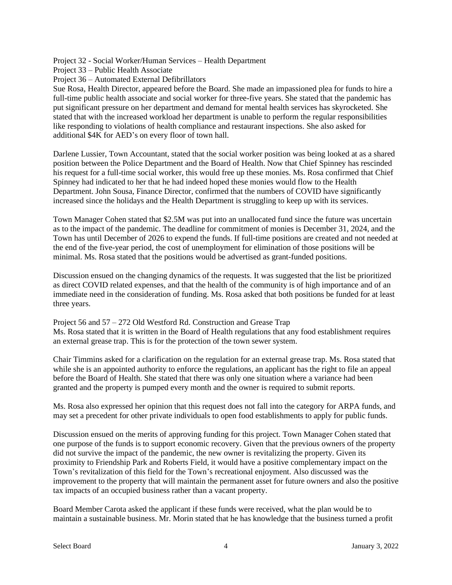Project 32 - Social Worker/Human Services – Health Department

Project 33 – Public Health Associate

Project 36 – Automated External Defibrillators

Sue Rosa, Health Director, appeared before the Board. She made an impassioned plea for funds to hire a full-time public health associate and social worker for three-five years. She stated that the pandemic has put significant pressure on her department and demand for mental health services has skyrocketed. She stated that with the increased workload her department is unable to perform the regular responsibilities like responding to violations of health compliance and restaurant inspections. She also asked for additional \$4K for AED's on every floor of town hall.

Darlene Lussier, Town Accountant, stated that the social worker position was being looked at as a shared position between the Police Department and the Board of Health. Now that Chief Spinney has rescinded his request for a full-time social worker, this would free up these monies. Ms. Rosa confirmed that Chief Spinney had indicated to her that he had indeed hoped these monies would flow to the Health Department. John Sousa, Finance Director, confirmed that the numbers of COVID have significantly increased since the holidays and the Health Department is struggling to keep up with its services.

Town Manager Cohen stated that \$2.5M was put into an unallocated fund since the future was uncertain as to the impact of the pandemic. The deadline for commitment of monies is December 31, 2024, and the Town has until December of 2026 to expend the funds. If full-time positions are created and not needed at the end of the five-year period, the cost of unemployment for elimination of those positions will be minimal. Ms. Rosa stated that the positions would be advertised as grant-funded positions.

Discussion ensued on the changing dynamics of the requests. It was suggested that the list be prioritized as direct COVID related expenses, and that the health of the community is of high importance and of an immediate need in the consideration of funding. Ms. Rosa asked that both positions be funded for at least three years.

Project 56 and 57 – 272 Old Westford Rd. Construction and Grease Trap Ms. Rosa stated that it is written in the Board of Health regulations that any food establishment requires an external grease trap. This is for the protection of the town sewer system.

Chair Timmins asked for a clarification on the regulation for an external grease trap. Ms. Rosa stated that while she is an appointed authority to enforce the regulations, an applicant has the right to file an appeal before the Board of Health. She stated that there was only one situation where a variance had been granted and the property is pumped every month and the owner is required to submit reports.

Ms. Rosa also expressed her opinion that this request does not fall into the category for ARPA funds, and may set a precedent for other private individuals to open food establishments to apply for public funds.

Discussion ensued on the merits of approving funding for this project. Town Manager Cohen stated that one purpose of the funds is to support economic recovery. Given that the previous owners of the property did not survive the impact of the pandemic, the new owner is revitalizing the property. Given its proximity to Friendship Park and Roberts Field, it would have a positive complementary impact on the Town's revitalization of this field for the Town's recreational enjoyment. Also discussed was the improvement to the property that will maintain the permanent asset for future owners and also the positive tax impacts of an occupied business rather than a vacant property.

Board Member Carota asked the applicant if these funds were received, what the plan would be to maintain a sustainable business. Mr. Morin stated that he has knowledge that the business turned a profit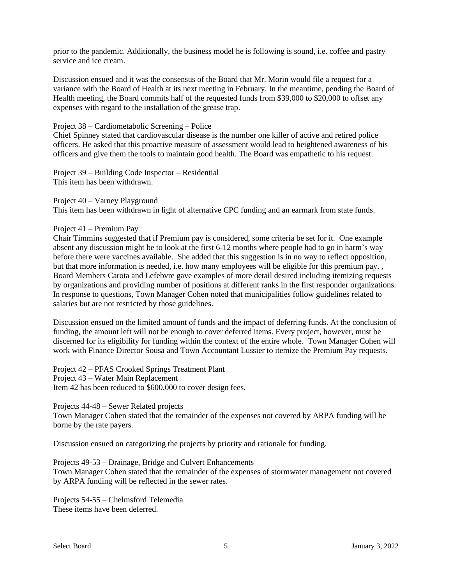prior to the pandemic. Additionally, the business model he is following is sound, i.e. coffee and pastry service and ice cream.

Discussion ensued and it was the consensus of the Board that Mr. Morin would file a request for a variance with the Board of Health at its next meeting in February. In the meantime, pending the Board of Health meeting, the Board commits half of the requested funds from \$39,000 to \$20,000 to offset any expenses with regard to the installation of the grease trap.

### Project 38 – Cardiometabolic Screening – Police

Chief Spinney stated that cardiovascular disease is the number one killer of active and retired police officers. He asked that this proactive measure of assessment would lead to heightened awareness of his officers and give them the tools to maintain good health. The Board was empathetic to his request.

Project 39 – Building Code Inspector – Residential This item has been withdrawn.

Project 40 – Varney Playground

This item has been withdrawn in light of alternative CPC funding and an earmark from state funds.

### Project 41 – Premium Pay

Chair Timmins suggested that if Premium pay is considered, some criteria be set for it. One example absent any discussion might be to look at the first 6-12 months where people had to go in harm's way before there were vaccines available. She added that this suggestion is in no way to reflect opposition, but that more information is needed, i.e. how many employees will be eligible for this premium pay. , Board Members Carota and Lefebvre gave examples of more detail desired including itemizing requests by organizations and providing number of positions at different ranks in the first responder organizations. In response to questions, Town Manager Cohen noted that municipalities follow guidelines related to salaries but are not restricted by those guidelines.

Discussion ensued on the limited amount of funds and the impact of deferring funds. At the conclusion of funding, the amount left will not be enough to cover deferred items. Every project, however, must be discerned for its eligibility for funding within the context of the entire whole. Town Manager Cohen will work with Finance Director Sousa and Town Accountant Lussier to itemize the Premium Pay requests.

Project 42 – PFAS Crooked Springs Treatment Plant Project 43 – Water Main Replacement Item 42 has been reduced to \$600,000 to cover design fees.

Projects 44-48 – Sewer Related projects Town Manager Cohen stated that the remainder of the expenses not covered by ARPA funding will be borne by the rate payers.

Discussion ensued on categorizing the projects by priority and rationale for funding.

Projects 49-53 – Drainage, Bridge and Culvert Enhancements Town Manager Cohen stated that the remainder of the expenses of stormwater management not covered by ARPA funding will be reflected in the sewer rates.

Projects 54-55 – Chelmsford Telemedia These items have been deferred.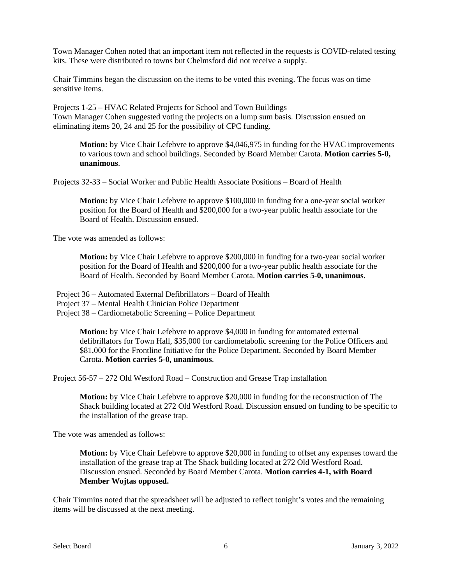Town Manager Cohen noted that an important item not reflected in the requests is COVID-related testing kits. These were distributed to towns but Chelmsford did not receive a supply.

Chair Timmins began the discussion on the items to be voted this evening. The focus was on time sensitive items.

Projects 1-25 – HVAC Related Projects for School and Town Buildings Town Manager Cohen suggested voting the projects on a lump sum basis. Discussion ensued on eliminating items 20, 24 and 25 for the possibility of CPC funding.

**Motion:** by Vice Chair Lefebvre to approve \$4,046,975 in funding for the HVAC improvements to various town and school buildings. Seconded by Board Member Carota. **Motion carries 5-0, unanimous**.

Projects 32-33 – Social Worker and Public Health Associate Positions – Board of Health

**Motion:** by Vice Chair Lefebvre to approve \$100,000 in funding for a one-year social worker position for the Board of Health and \$200,000 for a two-year public health associate for the Board of Health. Discussion ensued.

The vote was amended as follows:

**Motion:** by Vice Chair Lefebvre to approve \$200,000 in funding for a two-year social worker position for the Board of Health and \$200,000 for a two-year public health associate for the Board of Health. Seconded by Board Member Carota. **Motion carries 5-0, unanimous**.

Project 36 – Automated External Defibrillators – Board of Health

Project 37 – Mental Health Clinician Police Department

Project 38 – Cardiometabolic Screening – Police Department

**Motion:** by Vice Chair Lefebvre to approve \$4,000 in funding for automated external defibrillators for Town Hall, \$35,000 for cardiometabolic screening for the Police Officers and \$81,000 for the Frontline Initiative for the Police Department. Seconded by Board Member Carota. **Motion carries 5-0, unanimous**.

Project 56-57 – 272 Old Westford Road – Construction and Grease Trap installation

**Motion:** by Vice Chair Lefebvre to approve \$20,000 in funding for the reconstruction of The Shack building located at 272 Old Westford Road. Discussion ensued on funding to be specific to the installation of the grease trap.

The vote was amended as follows:

**Motion:** by Vice Chair Lefebvre to approve \$20,000 in funding to offset any expenses toward the installation of the grease trap at The Shack building located at 272 Old Westford Road. Discussion ensued. Seconded by Board Member Carota. **Motion carries 4-1, with Board Member Wojtas opposed.**

Chair Timmins noted that the spreadsheet will be adjusted to reflect tonight's votes and the remaining items will be discussed at the next meeting.